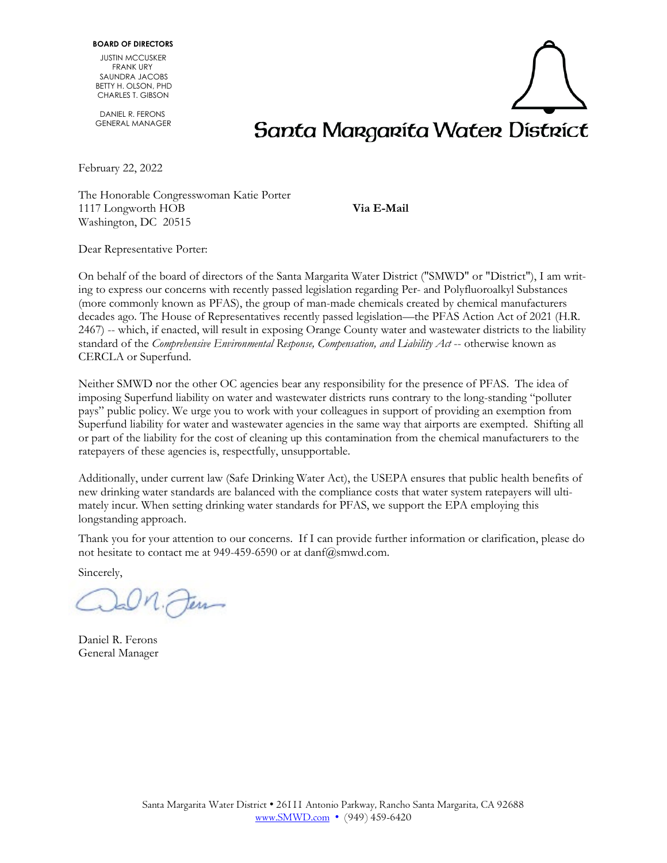JUSTIN MCCUSKER FRANK URY SAUNDRA JACOBS BETTY H. OLSON, PHD CHARLES T. GIBSON

 DANIEL R. FERONS GENERAL MANAGER

February 22, 2022

The Honorable Congresswoman Katie Porter 1117 Longworth HOB **Via E-Mail** Washington, DC 20515

Santa Margarita Water District

Dear Representative Porter:

On behalf of the board of directors of the Santa Margarita Water District ("SMWD" or "District"), I am writing to express our concerns with recently passed legislation regarding Per- and Polyfluoroalkyl Substances (more commonly known as PFAS), the group of man-made chemicals created by chemical manufacturers decades ago. The House of Representatives recently passed legislation—the PFAS Action Act of 2021 (H.R. 2467) -- which, if enacted, will result in exposing Orange County water and wastewater districts to the liability standard of the *Comprehensive Environmental Response, Compensation, and Liability Act* -- otherwise known as CERCLA or Superfund.

Neither SMWD nor the other OC agencies bear any responsibility for the presence of PFAS. The idea of imposing Superfund liability on water and wastewater districts runs contrary to the long-standing "polluter pays" public policy. We urge you to work with your colleagues in support of providing an exemption from Superfund liability for water and wastewater agencies in the same way that airports are exempted. Shifting all or part of the liability for the cost of cleaning up this contamination from the chemical manufacturers to the ratepayers of these agencies is, respectfully, unsupportable.

Additionally, under current law (Safe Drinking Water Act), the USEPA ensures that public health benefits of new drinking water standards are balanced with the compliance costs that water system ratepayers will ultimately incur. When setting drinking water standards for PFAS, we support the EPA employing this longstanding approach.

Thank you for your attention to our concerns. If I can provide further information or clarification, please do not hesitate to contact me at 949-459-6590 or at danf@smwd.com.

Sincerely,

Fern

Daniel R. Ferons General Manager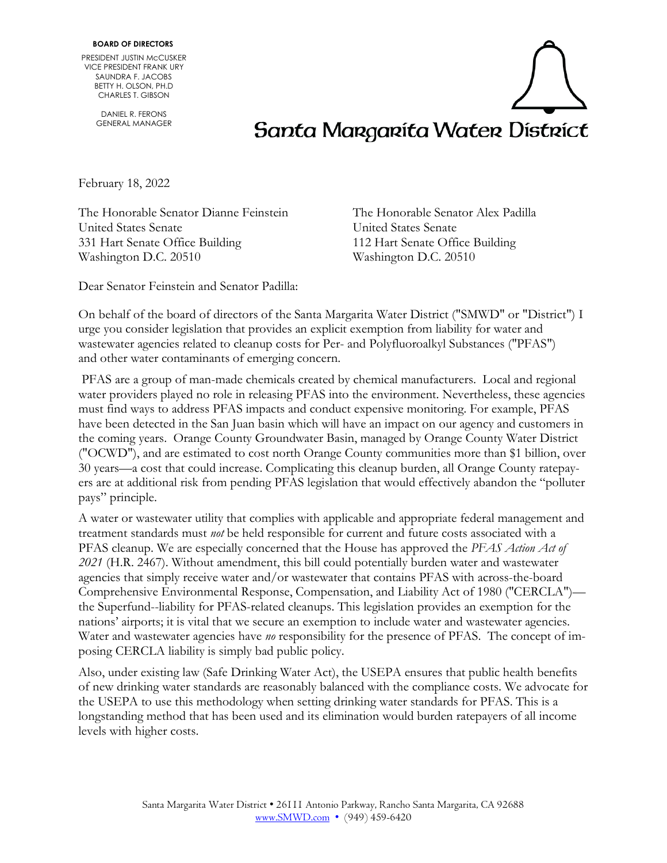PRESIDENT JUSTIN McCUSKER VICE PRESIDENT FRANK URY SAUNDRA F. JACOBS BETTY H. OLSON, PH.D CHARLES T. GIBSON

> DANIEL R. FERONS GENERAL MANAGER



February 18, 2022

The Honorable Senator Dianne Feinstein The Honorable Senator Alex Padilla United States Senate United States Senate 331 Hart Senate Office Building 112 Hart Senate Office Building Washington D.C. 20510 Washington D.C. 20510

Dear Senator Feinstein and Senator Padilla:

On behalf of the board of directors of the Santa Margarita Water District ("SMWD" or "District") I urge you consider legislation that provides an explicit exemption from liability for water and wastewater agencies related to cleanup costs for Per- and Polyfluoroalkyl Substances ("PFAS") and other water contaminants of emerging concern.

PFAS are a group of man-made chemicals created by chemical manufacturers. Local and regional water providers played no role in releasing PFAS into the environment. Nevertheless, these agencies must find ways to address PFAS impacts and conduct expensive monitoring. For example, PFAS have been detected in the San Juan basin which will have an impact on our agency and customers in the coming years. Orange County Groundwater Basin, managed by Orange County Water District ("OCWD"), and are estimated to cost north Orange County communities more than \$1 billion, over 30 years—a cost that could increase. Complicating this cleanup burden, all Orange County ratepayers are at additional risk from pending PFAS legislation that would effectively abandon the "polluter pays" principle.

A water or wastewater utility that complies with applicable and appropriate federal management and treatment standards must *not* be held responsible for current and future costs associated with a PFAS cleanup. We are especially concerned that the House has approved the *PFAS Action Act of 2021* (H.R. 2467). Without amendment, this bill could potentially burden water and wastewater agencies that simply receive water and/or wastewater that contains PFAS with across-the-board Comprehensive Environmental Response, Compensation, and Liability Act of 1980 ("CERCLA") the Superfund--liability for PFAS-related cleanups. This legislation provides an exemption for the nations' airports; it is vital that we secure an exemption to include water and wastewater agencies. Water and wastewater agencies have *no* responsibility for the presence of PFAS. The concept of imposing CERCLA liability is simply bad public policy.

Also, under existing law (Safe Drinking Water Act), the USEPA ensures that public health benefits of new drinking water standards are reasonably balanced with the compliance costs. We advocate for the USEPA to use this methodology when setting drinking water standards for PFAS. This is a longstanding method that has been used and its elimination would burden ratepayers of all income levels with higher costs.